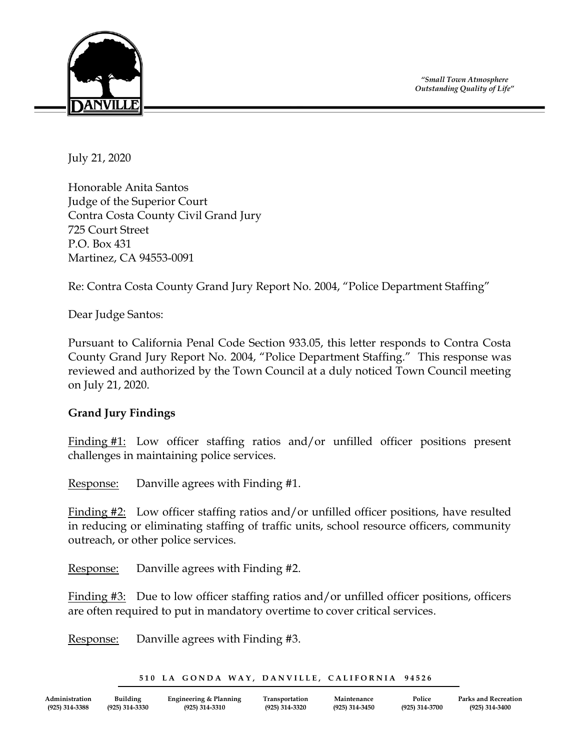*"Small Town Atmosphere Outstanding Quality of Life"*



July 21, 2020

Honorable Anita Santos Judge of the Superior Court Contra Costa County Civil Grand Jury 725 Court Street P.O. Box 431 Martinez, CA 94553-0091

Re: Contra Costa County Grand Jury Report No. 2004, "Police Department Staffing"

Dear Judge Santos:

Pursuant to California Penal Code Section 933.05, this letter responds to Contra Costa County Grand Jury Report No. 2004, "Police Department Staffing." This response was reviewed and authorized by the Town Council at a duly noticed Town Council meeting on July 21, 2020.

## **Grand Jury Findings**

Finding #1: Low officer staffing ratios and/or unfilled officer positions present challenges in maintaining police services.

Response: Danville agrees with Finding #1.

Finding #2: Low officer staffing ratios and/or unfilled officer positions, have resulted in reducing or eliminating staffing of traffic units, school resource officers, community outreach, or other police services.

Response: Danville agrees with Finding #2.

Finding #3: Due to low officer staffing ratios and/or unfilled officer positions, officers are often required to put in mandatory overtime to cover critical services.

Response: Danville agrees with Finding #3.

|  |  | 510 LA GONDA WAY, DANVILLE, CALIFORNIA 94526 |  |
|--|--|----------------------------------------------|--|
|  |  |                                              |  |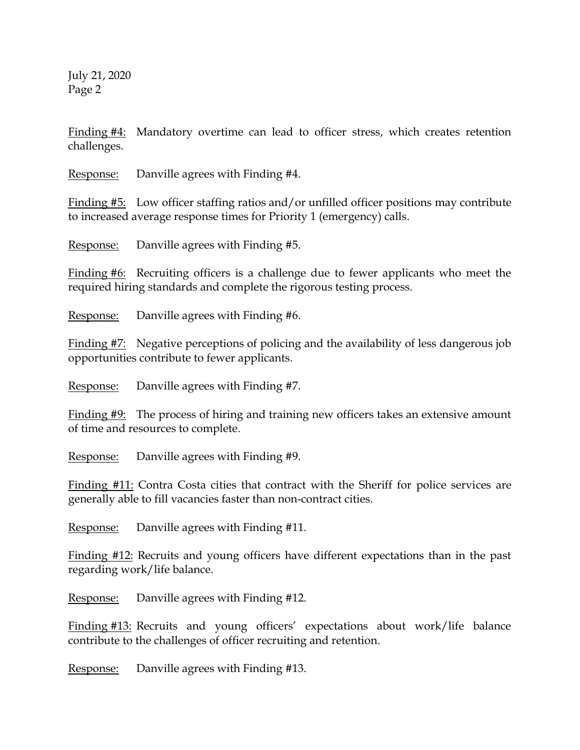July 21, 2020 Page 2

Finding #4: Mandatory overtime can lead to officer stress, which creates retention challenges.

Response: Danville agrees with Finding #4.

Finding #5: Low officer staffing ratios and/or unfilled officer positions may contribute to increased average response times for Priority 1 (emergency) calls.

Response: Danville agrees with Finding #5.

Finding #6: Recruiting officers is a challenge due to fewer applicants who meet the required hiring standards and complete the rigorous testing process.

Response: Danville agrees with Finding #6.

Finding #7: Negative perceptions of policing and the availability of less dangerous job opportunities contribute to fewer applicants.

Response: Danville agrees with Finding #7.

Finding #9: The process of hiring and training new officers takes an extensive amount of time and resources to complete.

Response: Danville agrees with Finding #9.

Finding #11: Contra Costa cities that contract with the Sheriff for police services are generally able to fill vacancies faster than non-contract cities.

Response: Danville agrees with Finding #11.

Finding #12: Recruits and young officers have different expectations than in the past regarding work/life balance.

Response: Danville agrees with Finding #12.

Finding #13: Recruits and young officers' expectations about work/life balance contribute to the challenges of officer recruiting and retention.

Response: Danville agrees with Finding #13.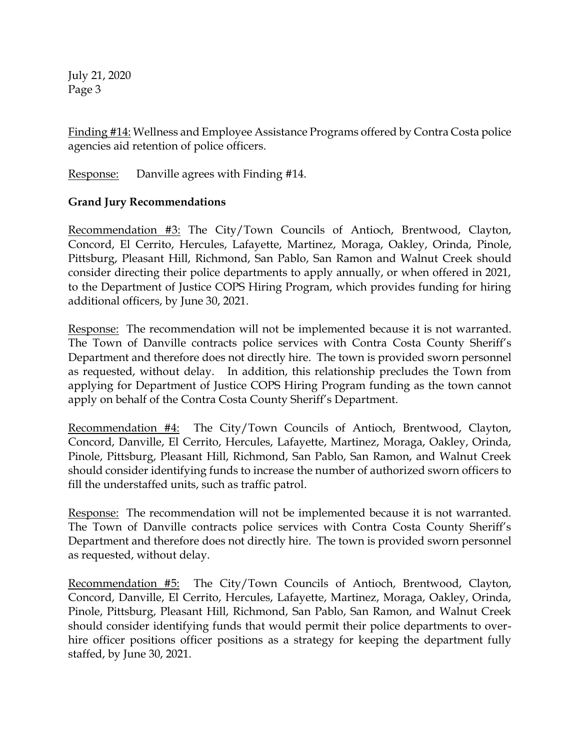July 21, 2020 Page 3

Finding #14: Wellness and Employee Assistance Programs offered by Contra Costa police agencies aid retention of police officers.

Response: Danville agrees with Finding #14.

## **Grand Jury Recommendations**

Recommendation #3: The City/Town Councils of Antioch, Brentwood, Clayton, Concord, El Cerrito, Hercules, Lafayette, Martinez, Moraga, Oakley, Orinda, Pinole, Pittsburg, Pleasant Hill, Richmond, San Pablo, San Ramon and Walnut Creek should consider directing their police departments to apply annually, or when offered in 2021, to the Department of Justice COPS Hiring Program, which provides funding for hiring additional officers, by June 30, 2021.

Response: The recommendation will not be implemented because it is not warranted. The Town of Danville contracts police services with Contra Costa County Sheriff's Department and therefore does not directly hire. The town is provided sworn personnel as requested, without delay. In addition, this relationship precludes the Town from applying for Department of Justice COPS Hiring Program funding as the town cannot apply on behalf of the Contra Costa County Sheriff's Department.

Recommendation #4: The City/Town Councils of Antioch, Brentwood, Clayton, Concord, Danville, El Cerrito, Hercules, Lafayette, Martinez, Moraga, Oakley, Orinda, Pinole, Pittsburg, Pleasant Hill, Richmond, San Pablo, San Ramon, and Walnut Creek should consider identifying funds to increase the number of authorized sworn officers to fill the understaffed units, such as traffic patrol.

Response: The recommendation will not be implemented because it is not warranted. The Town of Danville contracts police services with Contra Costa County Sheriff's Department and therefore does not directly hire. The town is provided sworn personnel as requested, without delay.

Recommendation #5: The City/Town Councils of Antioch, Brentwood, Clayton, Concord, Danville, El Cerrito, Hercules, Lafayette, Martinez, Moraga, Oakley, Orinda, Pinole, Pittsburg, Pleasant Hill, Richmond, San Pablo, San Ramon, and Walnut Creek should consider identifying funds that would permit their police departments to overhire officer positions officer positions as a strategy for keeping the department fully staffed, by June 30, 2021.